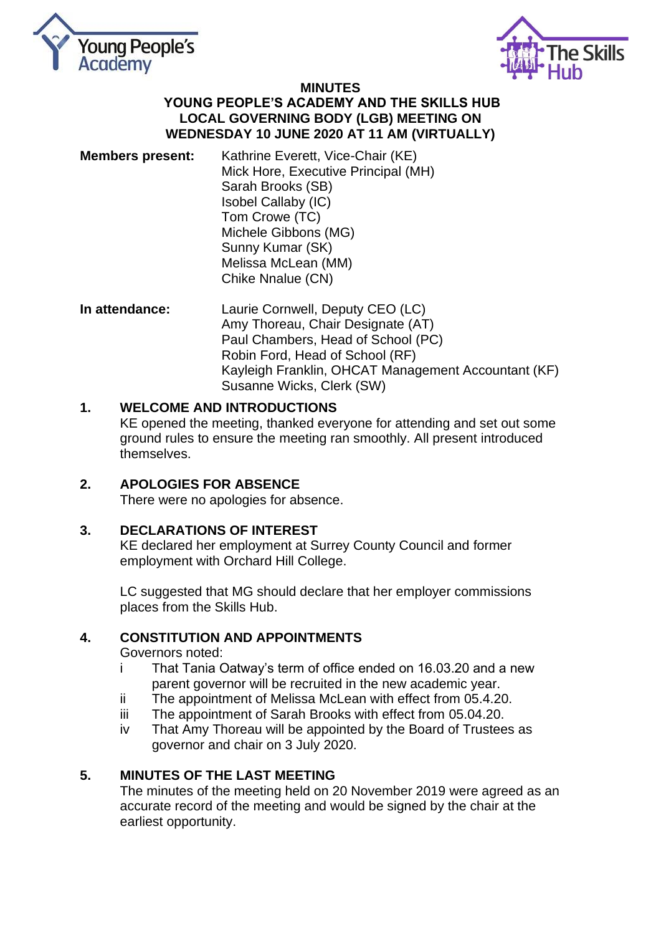



#### **MINUTES YOUNG PEOPLE'S ACADEMY AND THE SKILLS HUB LOCAL GOVERNING BODY (LGB) MEETING ON WEDNESDAY 10 JUNE 2020 AT 11 AM (VIRTUALLY)**

- **Members present:** Kathrine Everett, Vice-Chair (KE) Mick Hore, Executive Principal (MH) Sarah Brooks (SB) Isobel Callaby (IC) Tom Crowe (TC) Michele Gibbons (MG) Sunny Kumar (SK) Melissa McLean (MM) Chike Nnalue (CN)
- **In attendance:** Laurie Cornwell, Deputy CEO (LC) Amy Thoreau, Chair Designate (AT) Paul Chambers, Head of School (PC) Robin Ford, Head of School (RF) Kayleigh Franklin, OHCAT Management Accountant (KF) Susanne Wicks, Clerk (SW)

# **1. WELCOME AND INTRODUCTIONS**

KE opened the meeting, thanked everyone for attending and set out some ground rules to ensure the meeting ran smoothly. All present introduced themselves.

# **2. APOLOGIES FOR ABSENCE**

There were no apologies for absence.

### **3. DECLARATIONS OF INTEREST**

KE declared her employment at Surrey County Council and former employment with Orchard Hill College.

LC suggested that MG should declare that her employer commissions places from the Skills Hub.

# **4. CONSTITUTION AND APPOINTMENTS**

Governors noted:

- i That Tania Oatway's term of office ended on 16.03.20 and a new parent governor will be recruited in the new academic year.
- ii The appointment of Melissa McLean with effect from 05.4.20.
- iii The appointment of Sarah Brooks with effect from 05.04.20.
- iv That Amy Thoreau will be appointed by the Board of Trustees as governor and chair on 3 July 2020.

### **5. MINUTES OF THE LAST MEETING**

The minutes of the meeting held on 20 November 2019 were agreed as an accurate record of the meeting and would be signed by the chair at the earliest opportunity.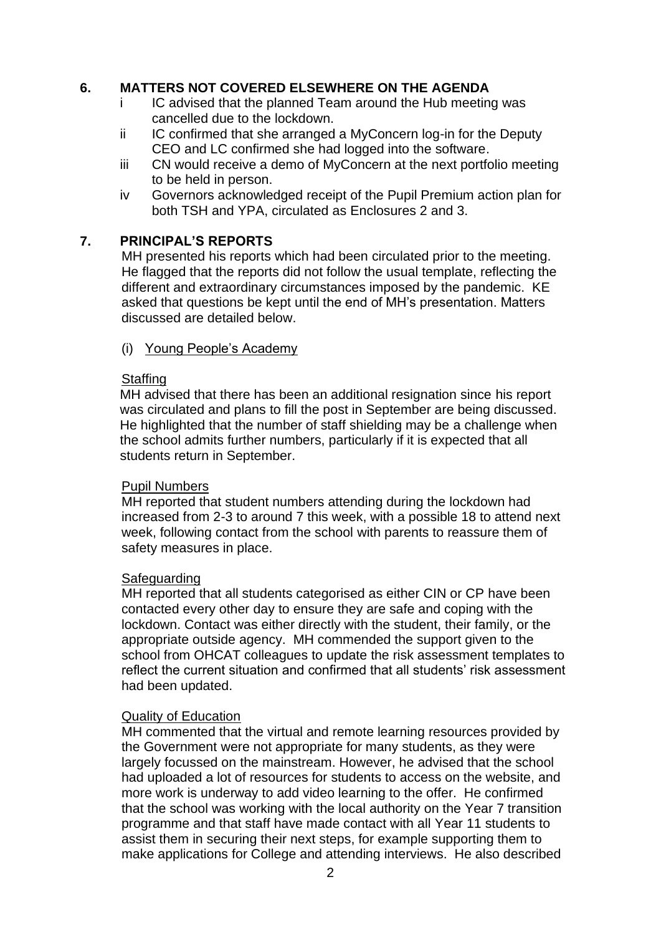### **6. MATTERS NOT COVERED ELSEWHERE ON THE AGENDA**

- i IC advised that the planned Team around the Hub meeting was cancelled due to the lockdown.
- ii IC confirmed that she arranged a MyConcern log-in for the Deputy CEO and LC confirmed she had logged into the software.
- iii CN would receive a demo of MyConcern at the next portfolio meeting to be held in person.
- iv Governors acknowledged receipt of the Pupil Premium action plan for both TSH and YPA, circulated as Enclosures 2 and 3.

### **7. PRINCIPAL'S REPORTS**

MH presented his reports which had been circulated prior to the meeting. He flagged that the reports did not follow the usual template, reflecting the different and extraordinary circumstances imposed by the pandemic. KE asked that questions be kept until the end of MH's presentation. Matters discussed are detailed below.

(i) Young People's Academy

#### **Staffing**

MH advised that there has been an additional resignation since his report was circulated and plans to fill the post in September are being discussed. He highlighted that the number of staff shielding may be a challenge when the school admits further numbers, particularly if it is expected that all students return in September.

### Pupil Numbers

MH reported that student numbers attending during the lockdown had increased from 2-3 to around 7 this week, with a possible 18 to attend next week, following contact from the school with parents to reassure them of safety measures in place.

#### Safeguarding

MH reported that all students categorised as either CIN or CP have been contacted every other day to ensure they are safe and coping with the lockdown. Contact was either directly with the student, their family, or the appropriate outside agency. MH commended the support given to the school from OHCAT colleagues to update the risk assessment templates to reflect the current situation and confirmed that all students' risk assessment had been updated.

### Quality of Education

MH commented that the virtual and remote learning resources provided by the Government were not appropriate for many students, as they were largely focussed on the mainstream. However, he advised that the school had uploaded a lot of resources for students to access on the website, and more work is underway to add video learning to the offer. He confirmed that the school was working with the local authority on the Year 7 transition programme and that staff have made contact with all Year 11 students to assist them in securing their next steps, for example supporting them to make applications for College and attending interviews. He also described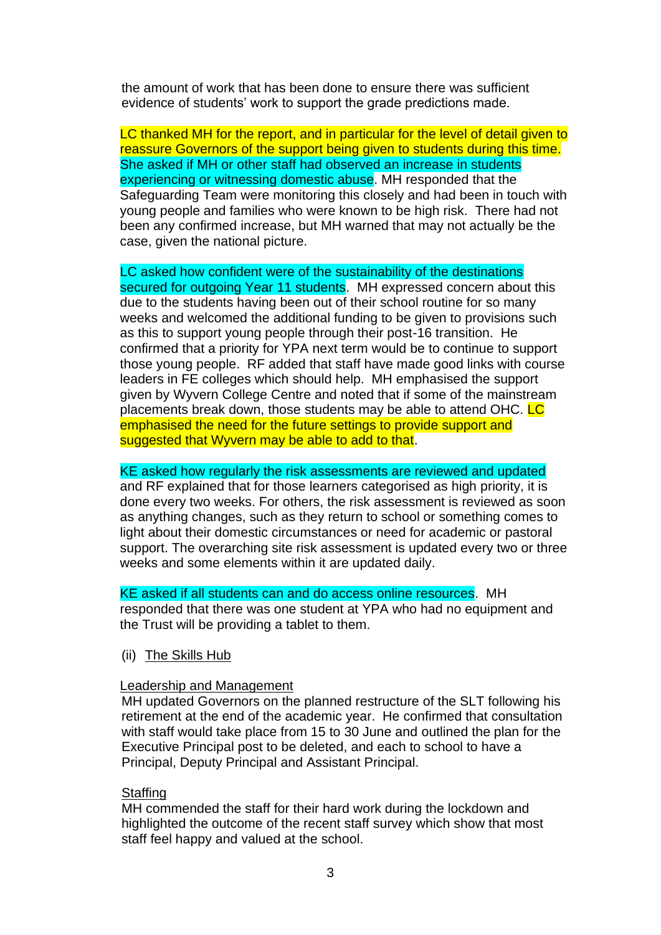the amount of work that has been done to ensure there was sufficient evidence of students' work to support the grade predictions made.

LC thanked MH for the report, and in particular for the level of detail given to reassure Governors of the support being given to students during this time. She asked if MH or other staff had observed an increase in students experiencing or witnessing domestic abuse. MH responded that the Safeguarding Team were monitoring this closely and had been in touch with young people and families who were known to be high risk. There had not been any confirmed increase, but MH warned that may not actually be the case, given the national picture.

LC asked how confident were of the sustainability of the destinations secured for outgoing Year 11 students. MH expressed concern about this due to the students having been out of their school routine for so many weeks and welcomed the additional funding to be given to provisions such as this to support young people through their post-16 transition. He confirmed that a priority for YPA next term would be to continue to support those young people. RF added that staff have made good links with course leaders in FE colleges which should help. MH emphasised the support given by Wyvern College Centre and noted that if some of the mainstream placements break down, those students may be able to attend OHC. LC emphasised the need for the future settings to provide support and suggested that Wyvern may be able to add to that.

KE asked how regularly the risk assessments are reviewed and updated

and RF explained that for those learners categorised as high priority, it is done every two weeks. For others, the risk assessment is reviewed as soon as anything changes, such as they return to school or something comes to light about their domestic circumstances or need for academic or pastoral support. The overarching site risk assessment is updated every two or three weeks and some elements within it are updated daily.

KE asked if all students can and do access online resources. MH responded that there was one student at YPA who had no equipment and the Trust will be providing a tablet to them.

(ii) The Skills Hub

#### Leadership and Management

MH updated Governors on the planned restructure of the SLT following his retirement at the end of the academic year. He confirmed that consultation with staff would take place from 15 to 30 June and outlined the plan for the Executive Principal post to be deleted, and each to school to have a Principal, Deputy Principal and Assistant Principal.

#### **Staffing**

MH commended the staff for their hard work during the lockdown and highlighted the outcome of the recent staff survey which show that most staff feel happy and valued at the school.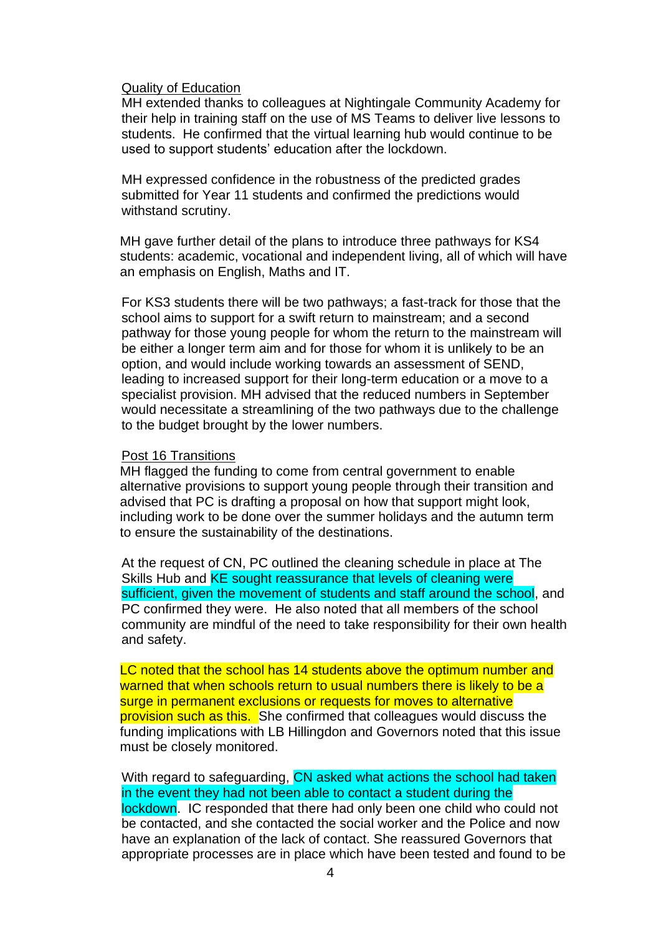#### Quality of Education

MH extended thanks to colleagues at Nightingale Community Academy for their help in training staff on the use of MS Teams to deliver live lessons to students. He confirmed that the virtual learning hub would continue to be used to support students' education after the lockdown.

MH expressed confidence in the robustness of the predicted grades submitted for Year 11 students and confirmed the predictions would withstand scrutiny.

MH gave further detail of the plans to introduce three pathways for KS4 students: academic, vocational and independent living, all of which will have an emphasis on English, Maths and IT.

For KS3 students there will be two pathways; a fast-track for those that the school aims to support for a swift return to mainstream; and a second pathway for those young people for whom the return to the mainstream will be either a longer term aim and for those for whom it is unlikely to be an option, and would include working towards an assessment of SEND, leading to increased support for their long-term education or a move to a specialist provision. MH advised that the reduced numbers in September would necessitate a streamlining of the two pathways due to the challenge to the budget brought by the lower numbers.

#### Post 16 Transitions

MH flagged the funding to come from central government to enable alternative provisions to support young people through their transition and advised that PC is drafting a proposal on how that support might look, including work to be done over the summer holidays and the autumn term to ensure the sustainability of the destinations.

At the request of CN, PC outlined the cleaning schedule in place at The Skills Hub and KE sought reassurance that levels of cleaning were sufficient, given the movement of students and staff around the school, and PC confirmed they were. He also noted that all members of the school community are mindful of the need to take responsibility for their own health and safety.

LC noted that the school has 14 students above the optimum number and warned that when schools return to usual numbers there is likely to be a surge in permanent exclusions or requests for moves to alternative provision such as this. She confirmed that colleagues would discuss the funding implications with LB Hillingdon and Governors noted that this issue must be closely monitored.

With regard to safeguarding, CN asked what actions the school had taken in the event they had not been able to contact a student during the lockdown. IC responded that there had only been one child who could not be contacted, and she contacted the social worker and the Police and now have an explanation of the lack of contact. She reassured Governors that appropriate processes are in place which have been tested and found to be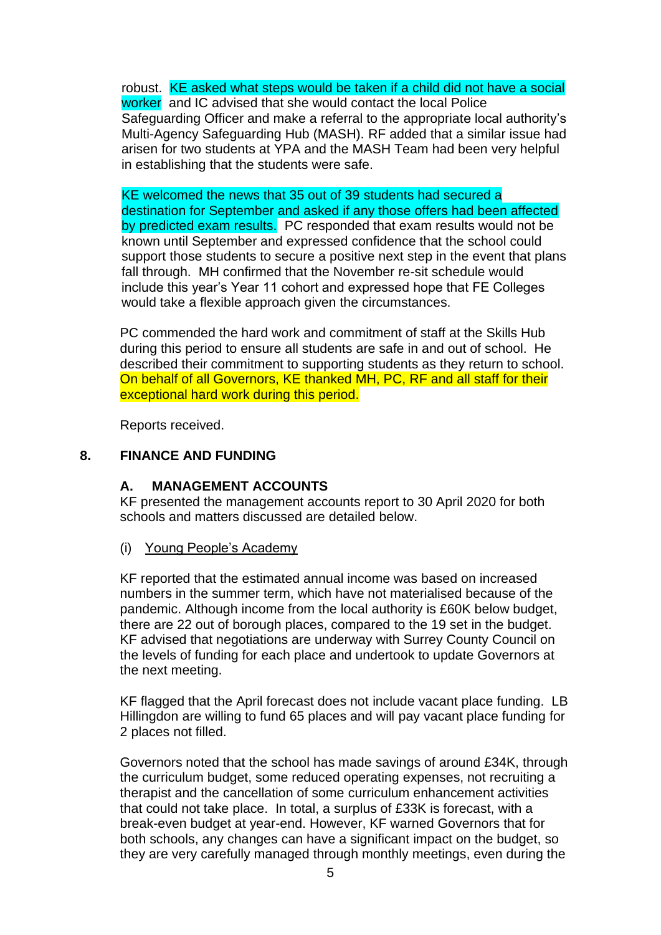robust. KE asked what steps would be taken if a child did not have a social worker and IC advised that she would contact the local Police Safeguarding Officer and make a referral to the appropriate local authority's Multi-Agency Safeguarding Hub (MASH). RF added that a similar issue had arisen for two students at YPA and the MASH Team had been very helpful in establishing that the students were safe.

KE welcomed the news that 35 out of 39 students had secured a destination for September and asked if any those offers had been affected by predicted exam results. PC responded that exam results would not be known until September and expressed confidence that the school could support those students to secure a positive next step in the event that plans fall through. MH confirmed that the November re-sit schedule would include this year's Year 11 cohort and expressed hope that FE Colleges would take a flexible approach given the circumstances.

PC commended the hard work and commitment of staff at the Skills Hub during this period to ensure all students are safe in and out of school. He described their commitment to supporting students as they return to school. On behalf of all Governors, KE thanked MH, PC, RF and all staff for their exceptional hard work during this period.

Reports received.

# **8. FINANCE AND FUNDING**

# **A. MANAGEMENT ACCOUNTS**

KF presented the management accounts report to 30 April 2020 for both schools and matters discussed are detailed below.

(i) Young People's Academy

KF reported that the estimated annual income was based on increased numbers in the summer term, which have not materialised because of the pandemic. Although income from the local authority is £60K below budget, there are 22 out of borough places, compared to the 19 set in the budget. KF advised that negotiations are underway with Surrey County Council on the levels of funding for each place and undertook to update Governors at the next meeting.

KF flagged that the April forecast does not include vacant place funding. LB Hillingdon are willing to fund 65 places and will pay vacant place funding for 2 places not filled.

Governors noted that the school has made savings of around £34K, through the curriculum budget, some reduced operating expenses, not recruiting a therapist and the cancellation of some curriculum enhancement activities that could not take place. In total, a surplus of £33K is forecast, with a break-even budget at year-end. However, KF warned Governors that for both schools, any changes can have a significant impact on the budget, so they are very carefully managed through monthly meetings, even during the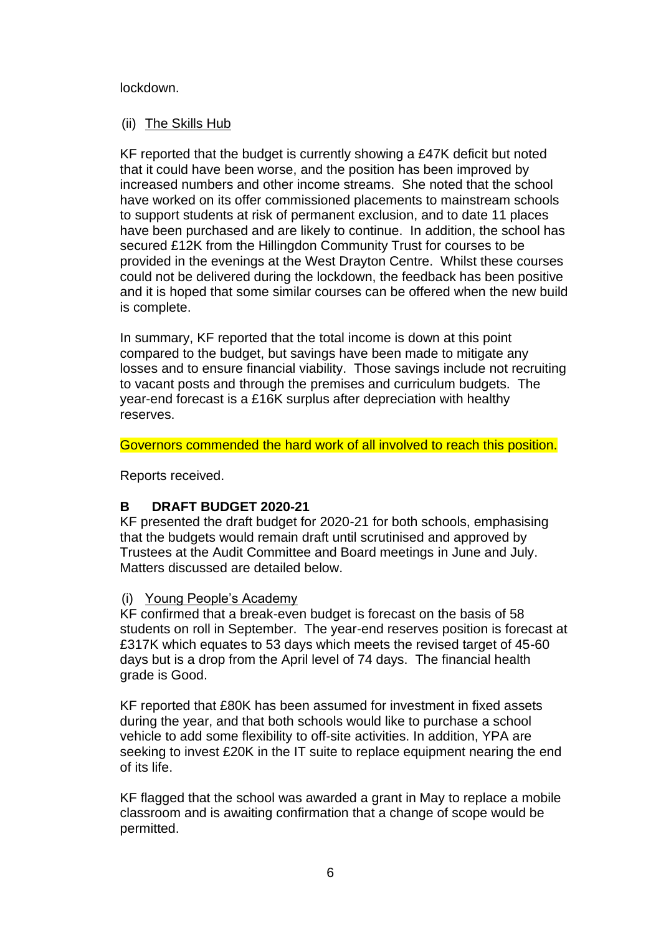#### lockdown.

#### (ii) The Skills Hub

KF reported that the budget is currently showing a £47K deficit but noted that it could have been worse, and the position has been improved by increased numbers and other income streams. She noted that the school have worked on its offer commissioned placements to mainstream schools to support students at risk of permanent exclusion, and to date 11 places have been purchased and are likely to continue. In addition, the school has secured £12K from the Hillingdon Community Trust for courses to be provided in the evenings at the West Drayton Centre. Whilst these courses could not be delivered during the lockdown, the feedback has been positive and it is hoped that some similar courses can be offered when the new build is complete.

In summary, KF reported that the total income is down at this point compared to the budget, but savings have been made to mitigate any losses and to ensure financial viability. Those savings include not recruiting to vacant posts and through the premises and curriculum budgets. The year-end forecast is a £16K surplus after depreciation with healthy reserves.

Governors commended the hard work of all involved to reach this position.

Reports received.

### **B DRAFT BUDGET 2020-21**

KF presented the draft budget for 2020-21 for both schools, emphasising that the budgets would remain draft until scrutinised and approved by Trustees at the Audit Committee and Board meetings in June and July. Matters discussed are detailed below.

### (i) Young People's Academy

KF confirmed that a break-even budget is forecast on the basis of 58 students on roll in September. The year-end reserves position is forecast at £317K which equates to 53 days which meets the revised target of 45-60 days but is a drop from the April level of 74 days. The financial health grade is Good.

KF reported that £80K has been assumed for investment in fixed assets during the year, and that both schools would like to purchase a school vehicle to add some flexibility to off-site activities. In addition, YPA are seeking to invest £20K in the IT suite to replace equipment nearing the end of its life.

KF flagged that the school was awarded a grant in May to replace a mobile classroom and is awaiting confirmation that a change of scope would be permitted.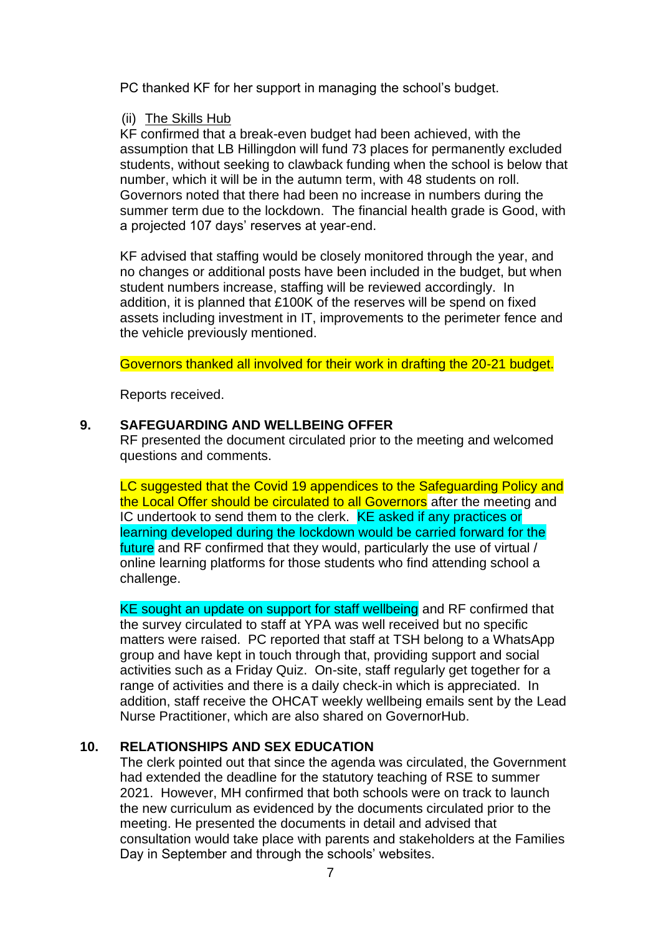PC thanked KF for her support in managing the school's budget.

### (ii) The Skills Hub

KF confirmed that a break-even budget had been achieved, with the assumption that LB Hillingdon will fund 73 places for permanently excluded students, without seeking to clawback funding when the school is below that number, which it will be in the autumn term, with 48 students on roll. Governors noted that there had been no increase in numbers during the summer term due to the lockdown. The financial health grade is Good, with a projected 107 days' reserves at year-end.

KF advised that staffing would be closely monitored through the year, and no changes or additional posts have been included in the budget, but when student numbers increase, staffing will be reviewed accordingly. In addition, it is planned that £100K of the reserves will be spend on fixed assets including investment in IT, improvements to the perimeter fence and the vehicle previously mentioned.

Governors thanked all involved for their work in drafting the 20-21 budget.

Reports received.

# **9. SAFEGUARDING AND WELLBEING OFFER**

RF presented the document circulated prior to the meeting and welcomed questions and comments.

LC suggested that the Covid 19 appendices to the Safeguarding Policy and the Local Offer should be circulated to all Governors after the meeting and IC undertook to send them to the clerk. KE asked if any practices or learning developed during the lockdown would be carried forward for the future and RF confirmed that they would, particularly the use of virtual / online learning platforms for those students who find attending school a challenge.

KE sought an update on support for staff wellbeing and RF confirmed that the survey circulated to staff at YPA was well received but no specific matters were raised. PC reported that staff at TSH belong to a WhatsApp group and have kept in touch through that, providing support and social activities such as a Friday Quiz. On-site, staff regularly get together for a range of activities and there is a daily check-in which is appreciated. In addition, staff receive the OHCAT weekly wellbeing emails sent by the Lead Nurse Practitioner, which are also shared on GovernorHub.

# **10. RELATIONSHIPS AND SEX EDUCATION**

The clerk pointed out that since the agenda was circulated, the Government had extended the deadline for the statutory teaching of RSE to summer 2021. However, MH confirmed that both schools were on track to launch the new curriculum as evidenced by the documents circulated prior to the meeting. He presented the documents in detail and advised that consultation would take place with parents and stakeholders at the Families Day in September and through the schools' websites.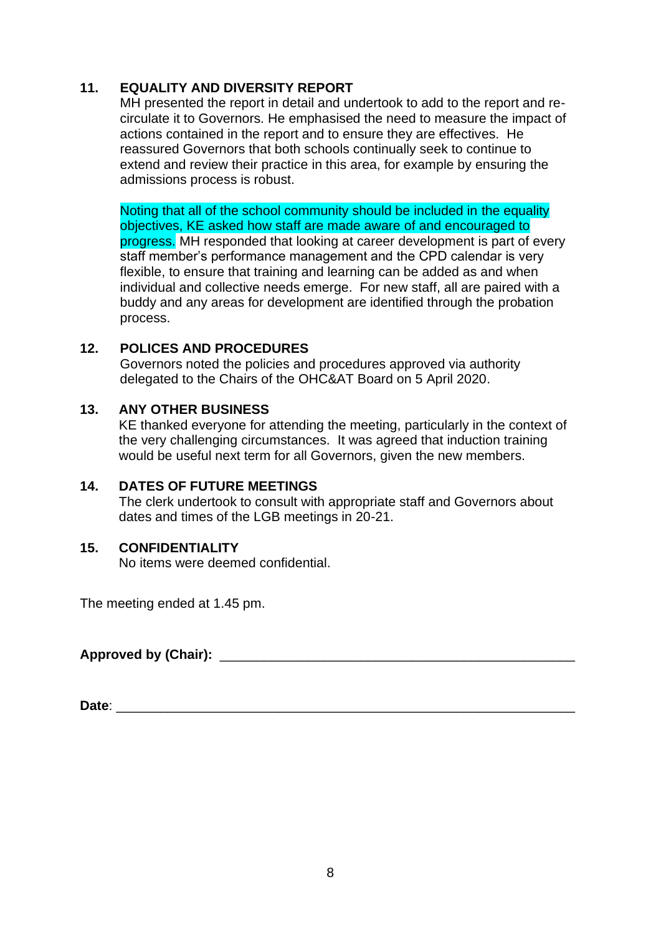# **11. EQUALITY AND DIVERSITY REPORT**

MH presented the report in detail and undertook to add to the report and recirculate it to Governors. He emphasised the need to measure the impact of actions contained in the report and to ensure they are effectives. He reassured Governors that both schools continually seek to continue to extend and review their practice in this area, for example by ensuring the admissions process is robust.

Noting that all of the school community should be included in the equality objectives, KE asked how staff are made aware of and encouraged to progress. MH responded that looking at career development is part of every staff member's performance management and the CPD calendar is very flexible, to ensure that training and learning can be added as and when individual and collective needs emerge. For new staff, all are paired with a buddy and any areas for development are identified through the probation process.

### **12. POLICES AND PROCEDURES**

Governors noted the policies and procedures approved via authority delegated to the Chairs of the OHC&AT Board on 5 April 2020.

#### **13. ANY OTHER BUSINESS**

KE thanked everyone for attending the meeting, particularly in the context of the very challenging circumstances. It was agreed that induction training would be useful next term for all Governors, given the new members.

### **14. DATES OF FUTURE MEETINGS**

The clerk undertook to consult with appropriate staff and Governors about dates and times of the LGB meetings in 20-21.

### **15. CONFIDENTIALITY**

No items were deemed confidential.

The meeting ended at 1.45 pm.

**Approved by (Chair):** \_\_\_\_\_\_\_\_\_\_\_\_\_\_\_\_\_\_\_\_\_\_\_\_\_\_\_\_\_\_\_\_\_\_\_\_\_\_\_\_\_\_\_\_\_\_\_\_

**Date**: \_\_\_\_\_\_\_\_\_\_\_\_\_\_\_\_\_\_\_\_\_\_\_\_\_\_\_\_\_\_\_\_\_\_\_\_\_\_\_\_\_\_\_\_\_\_\_\_\_\_\_\_\_\_\_\_\_\_\_\_\_\_